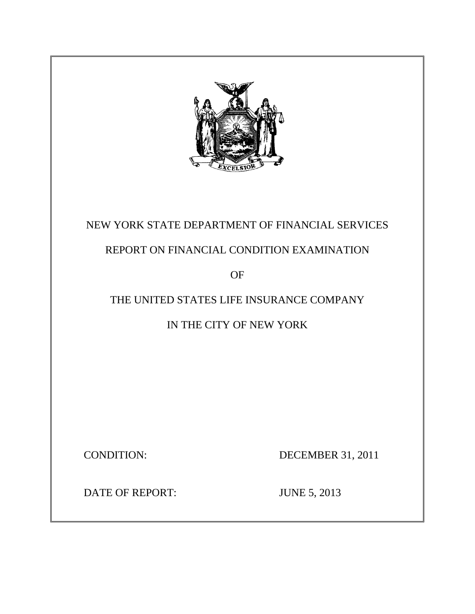

# NEW YORK STATE DEPARTMENT OF FINANCIAL SERVICES

# REPORT ON FINANCIAL CONDITION EXAMINATION

OF

# THE UNITED STATES LIFE INSURANCE COMPANY

IN THE CITY OF NEW YORK

**CONDITION:** 

DECEMBER 31, 2011

DATE OF REPORT: JUNE 5, 2013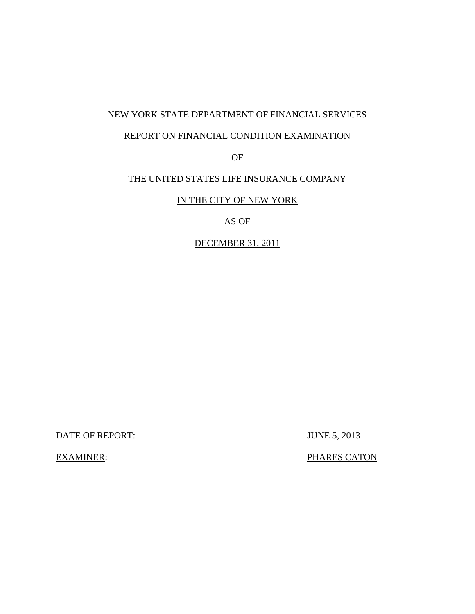### NEW YORK STATE DEPARTMENT OF FINANCIAL SERVICES

#### REPORT ON FINANCIAL CONDITION EXAMINATION

OF

### THE UNITED STATES LIFE INSURANCE COMPANY

IN THE CITY OF NEW YORK

AS OF

DECEMBER 31, 2011

DATE OF REPORT: JUNE 5, 2013

**EXAMINER:** 

PHARES CATON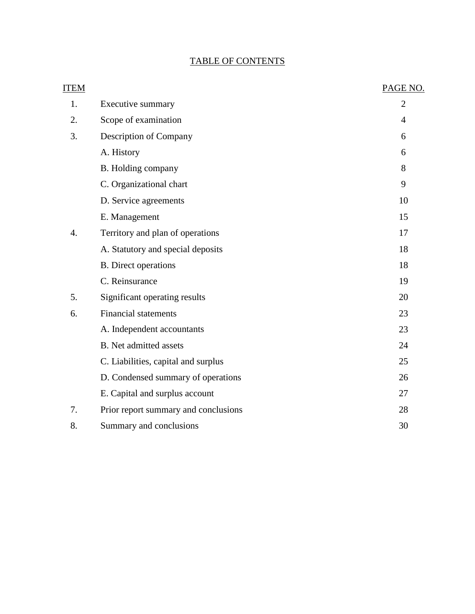### TABLE OF CONTENTS

| <b>ITEM</b> |                                      | PAGE NO.       |
|-------------|--------------------------------------|----------------|
| 1.          | Executive summary                    | $\overline{2}$ |
| 2.          | Scope of examination                 | 4              |
| 3.          | Description of Company               | 6              |
|             | A. History                           | 6              |
|             | B. Holding company                   | 8              |
|             | C. Organizational chart              | 9              |
|             | D. Service agreements                | 10             |
|             | E. Management                        | 15             |
| 4.          | Territory and plan of operations     | 17             |
|             | A. Statutory and special deposits    | 18             |
|             | <b>B.</b> Direct operations          | 18             |
|             | C. Reinsurance                       | 19             |
| 5.          | Significant operating results        | 20             |
| 6.          | <b>Financial statements</b>          | 23             |
|             | A. Independent accountants           | 23             |
|             | <b>B.</b> Net admitted assets        | 24             |
|             | C. Liabilities, capital and surplus  | 25             |
|             | D. Condensed summary of operations   | 26             |
|             | E. Capital and surplus account       | 27             |
| 7.          | Prior report summary and conclusions | 28             |
| 8.          | Summary and conclusions              | 30             |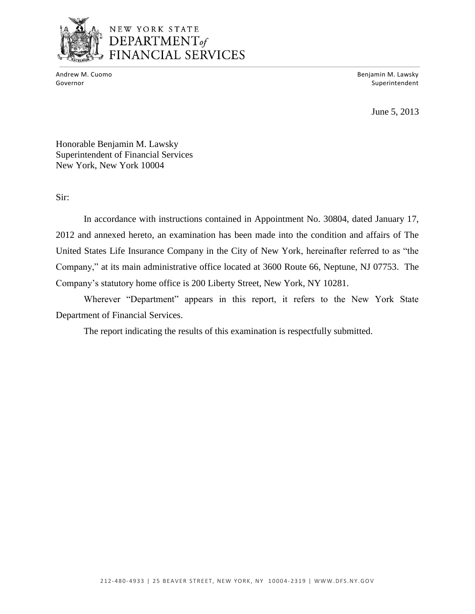

### NEW YORK STATE DEPARTMENT<sub>of</sub> FINANCIAL SERVICES

Andrew M. Cuomo

Benjamin M. Lawsky Governor Superintendent and Superintendent and Superintendent and Superintendent and Superintendent and Superintendent and Superintendent and Superintendent and Superintendent and Superintendent and Superintendent and Supe

June 5, 2013

Honorable Benjamin M. Lawsky Superintendent of Financial Services New York, New York 10004

Sir:

 2012 and annexed hereto, an examination has been made into the condition and affairs of The United States Life Insurance Company in the City of New York, hereinafter referred to as "the Company," at its main administrative office located at 3600 Route 66, Neptune, NJ 07753. The Company"s statutory home office is 200 Liberty Street, New York, NY 10281. In accordance with instructions contained in Appointment No. 30804, dated January 17,

Wherever "Department" appears in this report, it refers to the New York State Department of Financial Services.

The report indicating the results of this examination is respectfully submitted.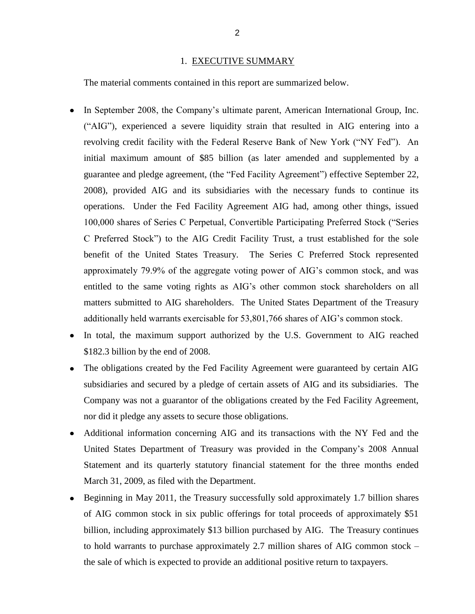#### 1. EXECUTIVE SUMMARY

<span id="page-4-0"></span>The material comments contained in this report are summarized below.

- In September 2008, the Company's ultimate parent, American International Group, Inc.  $\bullet$  ("AIG"), experienced a severe liquidity strain that resulted in AIG entering into a revolving credit facility with the Federal Reserve Bank of New York ("NY Fed"). An initial maximum amount of \$85 billion (as later amended and supplemented by a guarantee and pledge agreement, (the "Fed Facility Agreement") effective September 22, 2008), provided AIG and its subsidiaries with the necessary funds to continue its operations. Under the Fed Facility Agreement AIG had, among other things, issued 100,000 shares of Series C Perpetual, Convertible Participating Preferred Stock ("Series C Preferred Stock") to the AIG Credit Facility Trust, a trust established for the sole benefit of the United States Treasury. The Series C Preferred Stock represented approximately 79.9% of the aggregate voting power of AIG"s common stock, and was entitled to the same voting rights as AIG"s other common stock shareholders on all matters submitted to AIG shareholders. The United States Department of the Treasury additionally held warrants exercisable for 53,801,766 shares of AIG"s common stock.
- In total, the maximum support authorized by the U.S. Government to AIG reached \$182.3 billion by the end of 2008.
- The obligations created by the Fed Facility Agreement were guaranteed by certain AIG  $\bullet$  subsidiaries and secured by a pledge of certain assets of AIG and its subsidiaries. The Company was not a guarantor of the obligations created by the Fed Facility Agreement, nor did it pledge any assets to secure those obligations.
- Statement and its quarterly statutory financial statement for the three months ended Additional information concerning AIG and its transactions with the NY Fed and the United States Department of Treasury was provided in the Company"s 2008 Annual March 31, 2009, as filed with the Department.
- Beginning in May 2011, the Treasury successfully sold approximately 1.7 billion shares of AIG common stock in six public offerings for total proceeds of approximately \$51 billion, including approximately \$13 billion purchased by AIG. The Treasury continues to hold warrants to purchase approximately 2.7 million shares of AIG common stock – the sale of which is expected to provide an additional positive return to taxpayers.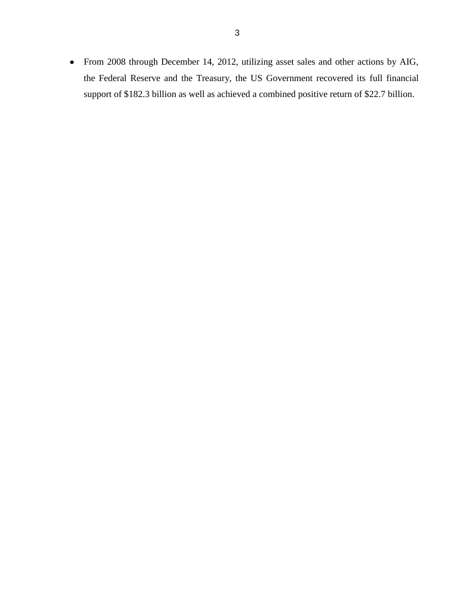From 2008 through December 14, 2012, utilizing asset sales and other actions by AIG, the Federal Reserve and the Treasury, the US Government recovered its full financial support of \$182.3 billion as well as achieved a combined positive return of \$22.7 billion.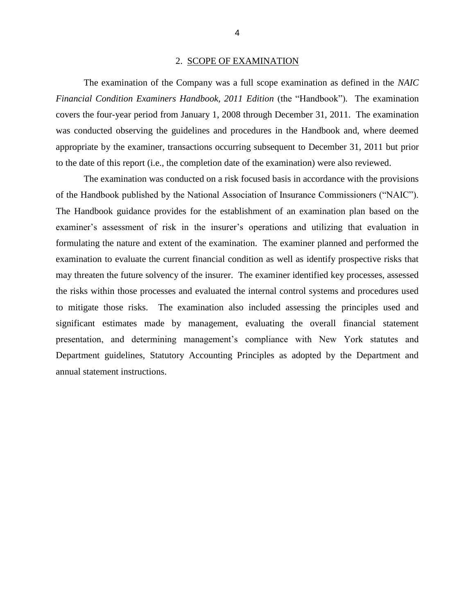#### 2. SCOPE OF EXAMINATION

<span id="page-6-0"></span>*Financial Condition Examiners Handbook, 2011 Edition* (the "Handbook"). The examination covers the four-year period from January 1, 2008 through December 31, 2011. The examination was conducted observing the guidelines and procedures in the Handbook and, where deemed appropriate by the examiner, transactions occurring subsequent to December 31, 2011 but prior The examination of the Company was a full scope examination as defined in the *NAIC*  to the date of this report (i.e., the completion date of the examination) were also reviewed.

 of the Handbook published by the National Association of Insurance Commissioners ("NAIC"). examiner's assessment of risk in the insurer's operations and utilizing that evaluation in formulating the nature and extent of the examination. The examiner planned and performed the examination to evaluate the current financial condition as well as identify prospective risks that may threaten the future solvency of the insurer. The examiner identified key processes, assessed to mitigate those risks. The examination also included assessing the principles used and significant estimates made by management, evaluating the overall financial statement presentation, and determining management's compliance with New York statutes and Department guidelines, Statutory Accounting Principles as adopted by the Department and The examination was conducted on a risk focused basis in accordance with the provisions The Handbook guidance provides for the establishment of an examination plan based on the the risks within those processes and evaluated the internal control systems and procedures used annual statement instructions.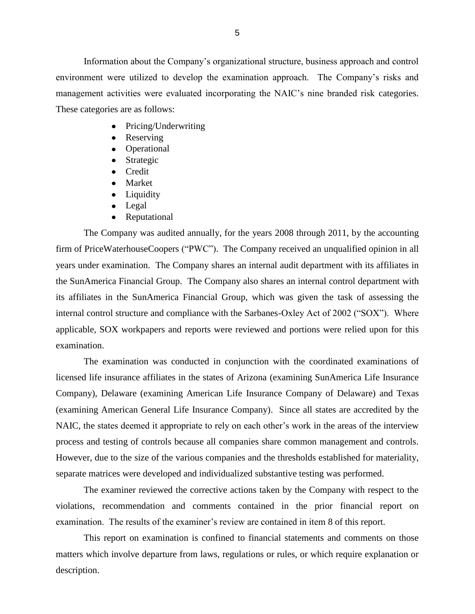environment were utilized to develop the examination approach. The Company"s risks and management activities were evaluated incorporating the NAIC"s nine branded risk categories. These categories are as follows: These categories are as follows: Information about the Company"s organizational structure, business approach and control

- Pricing/Underwriting
- Reserving
- Operational
- Strategic
- Credit
- Market
- Liquidity
- Legal
- Reputational

 The Company was audited annually, for the years 2008 through 2011, by the accounting firm of PriceWaterhouseCoopers ("PWC"). The Company received an unqualified opinion in all years under examination. The Company shares an internal audit department with its affiliates in the SunAmerica Financial Group. The Company also shares an internal control department with its affiliates in the SunAmerica Financial Group, which was given the task of assessing the internal control structure and compliance with the Sarbanes-Oxley Act of 2002 ("SOX"). Where applicable, SOX workpapers and reports were reviewed and portions were relied upon for this examination.

 The examination was conducted in conjunction with the coordinated examinations of licensed life insurance affiliates in the states of Arizona (examining SunAmerica Life Insurance Company), Delaware (examining American Life Insurance Company of Delaware) and Texas (examining American General Life Insurance Company). Since all states are accredited by the NAIC, the states deemed it appropriate to rely on each other"s work in the areas of the interview process and testing of controls because all companies share common management and controls. However, due to the size of the various companies and the thresholds established for materiality, separate matrices were developed and individualized substantive testing was performed.

The examiner reviewed the corrective actions taken by the Company with respect to the violations, recommendation and comments contained in the prior financial report on examination. The results of the examiner's review are contained in item 8 of this report.

 matters which involve departure from laws, regulations or rules, or which require explanation or This report on examination is confined to financial statements and comments on those description.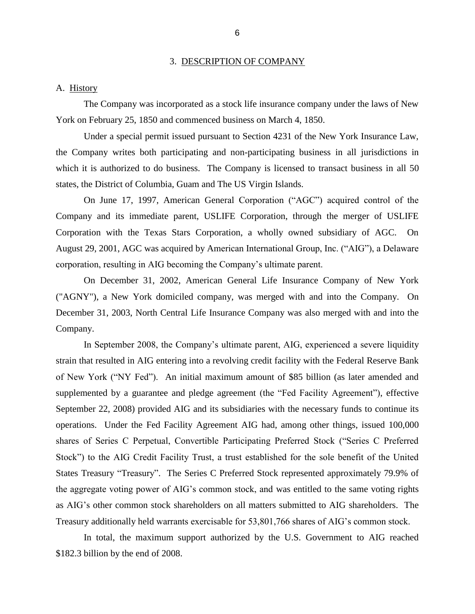#### 3. DESCRIPTION OF COMPANY

#### <span id="page-8-0"></span>A. History

The Company was incorporated as a stock life insurance company under the laws of New York on February 25, 1850 and commenced business on March 4, 1850.

 Under a special permit issued pursuant to Section 4231 of the New York Insurance Law, the Company writes both participating and non-participating business in all jurisdictions in which it is authorized to do business. The Company is licensed to transact business in all 50 states, the District of Columbia, Guam and The US Virgin Islands.

 On June 17, 1997, American General Corporation ("AGC") acquired control of the Company and its immediate parent, USLIFE Corporation, through the merger of USLIFE Corporation with the Texas Stars Corporation, a wholly owned subsidiary of AGC. On August 29, 2001, AGC was acquired by American International Group, Inc. ("AIG"), a Delaware corporation, resulting in AIG becoming the Company"s ultimate parent.

 On December 31, 2002, American General Life Insurance Company of New York ("AGNY"), a New York domiciled company, was merged with and into the Company. On December 31, 2003, North Central Life Insurance Company was also merged with and into the Company.

 In September 2008, the Company"s ultimate parent, AIG, experienced a severe liquidity strain that resulted in AIG entering into a revolving credit facility with the Federal Reserve Bank of New York ("NY Fed"). An initial maximum amount of \$85 billion (as later amended and supplemented by a guarantee and pledge agreement (the "Fed Facility Agreement"), effective September 22, 2008) provided AIG and its subsidiaries with the necessary funds to continue its operations. Under the Fed Facility Agreement AIG had, among other things, issued 100,000 shares of Series C Perpetual, Convertible Participating Preferred Stock ("Series C Preferred Stock") to the AIG Credit Facility Trust, a trust established for the sole benefit of the United States Treasury "Treasury". The Series C Preferred Stock represented approximately 79.9% of the aggregate voting power of AIG"s common stock, and was entitled to the same voting rights as AIG"s other common stock shareholders on all matters submitted to AIG shareholders. The Treasury additionally held warrants exercisable for 53,801,766 shares of AIG"s common stock.

In total, the maximum support authorized by the U.S. Government to AIG reached \$182.3 billion by the end of 2008.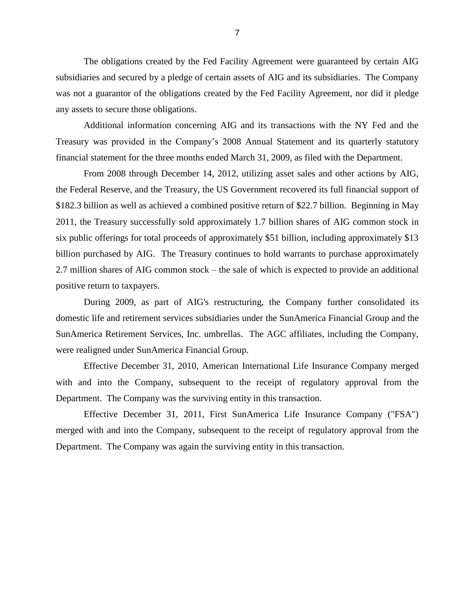The obligations created by the Fed Facility Agreement were guaranteed by certain AIG subsidiaries and secured by a pledge of certain assets of AIG and its subsidiaries. The Company was not a guarantor of the obligations created by the Fed Facility Agreement, nor did it pledge any assets to secure those obligations.

 Treasury was provided in the Company"s 2008 Annual Statement and its quarterly statutory Additional information concerning AIG and its transactions with the NY Fed and the financial statement for the three months ended March 31, 2009, as filed with the Department.

 From 2008 through December 14, 2012, utilizing asset sales and other actions by AIG, \$182.3 billion as well as achieved a combined positive return of \$22.7 billion. Beginning in May 2011, the Treasury successfully sold approximately 1.7 billion shares of AIG common stock in six public offerings for total proceeds of approximately \$51 billion, including approximately \$13 billion purchased by AIG. The Treasury continues to hold warrants to purchase approximately 2.7 million shares of AIG common stock – the sale of which is expected to provide an additional the Federal Reserve, and the Treasury, the US Government recovered its full financial support of positive return to taxpayers.

 During 2009, as part of AIG's restructuring, the Company further consolidated its domestic life and retirement services subsidiaries under the SunAmerica Financial Group and the SunAmerica Retirement Services, Inc. umbrellas. The AGC affiliates, including the Company, were realigned under SunAmerica Financial Group.

 Effective December 31, 2010, American International Life Insurance Company merged with and into the Company, subsequent to the receipt of regulatory approval from the Department. The Company was the surviving entity in this transaction.

 Effective December 31, 2011, First SunAmerica Life Insurance Company ("FSA") merged with and into the Company, subsequent to the receipt of regulatory approval from the Department. The Company was again the surviving entity in this transaction.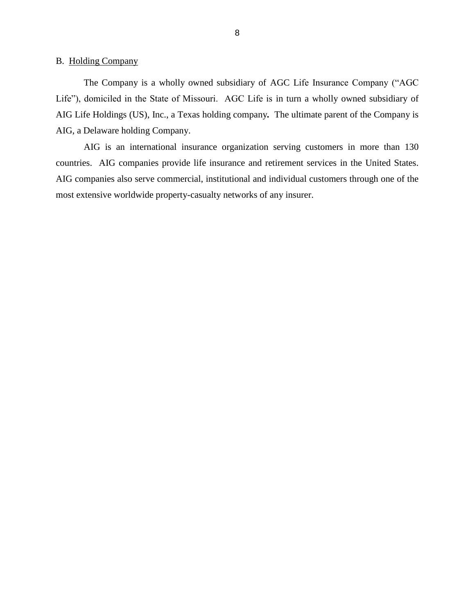<span id="page-10-0"></span>B. Holding Company

 The Company is a wholly owned subsidiary of AGC Life Insurance Company ("AGC Life"), domiciled in the State of Missouri. AGC Life is in turn a wholly owned subsidiary of AIG Life Holdings (US), Inc., a Texas holding company*.* The ultimate parent of the Company is AIG, a Delaware holding Company.

 countries. AIG companies provide life insurance and retirement services in the United States. AIG companies also serve commercial, institutional and individual customers through one of the AIG is an international insurance organization serving customers in more than 130 most extensive worldwide property-casualty networks of any insurer.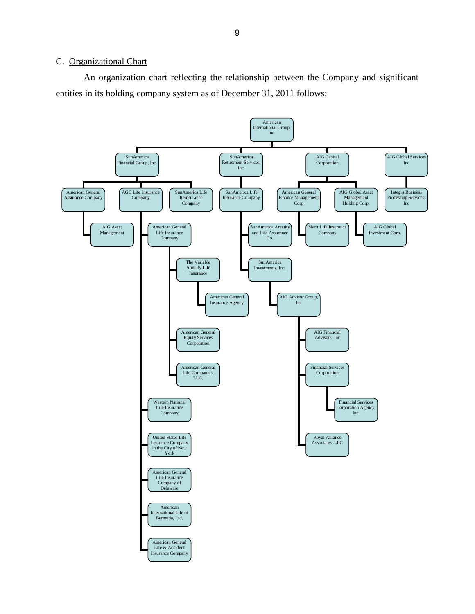#### <span id="page-11-0"></span>C. Organizational Chart

 An organization chart reflecting the relationship between the Company and significant entities in its holding company system as of December 31, 2011 follows:

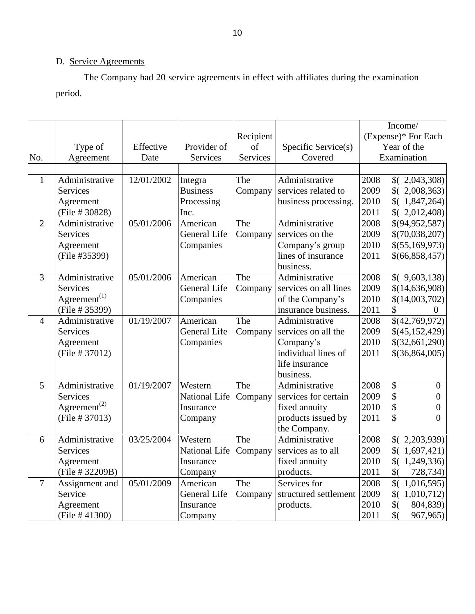## D. Service Agreements

The Company had 20 service agreements in effect with affiliates during the examination period.

|                |                                       |            |                     |           |                       |      | Income/                   |
|----------------|---------------------------------------|------------|---------------------|-----------|-----------------------|------|---------------------------|
|                |                                       |            |                     | Recipient |                       |      | (Expense)* For Each       |
|                | Type of                               | Effective  | Provider of         | of        | Specific Service(s)   |      | Year of the               |
| No.            | Agreement                             | Date       | <b>Services</b>     | Services  | Covered               |      | Examination               |
|                |                                       |            |                     |           |                       |      |                           |
| $\mathbf{1}$   | Administrative                        | 12/01/2002 | Integra             | The       | Administrative        | 2008 | (2,043,308)               |
|                | <b>Services</b>                       |            | <b>Business</b>     | Company   | services related to   | 2009 | (2,008,363)               |
|                | Agreement                             |            | Processing          |           | business processing.  | 2010 | (1,847,264)               |
|                | (File # 30828)                        |            | Inc.                |           |                       | 2011 | (2,012,408)               |
| $\overline{2}$ | Administrative                        | 05/01/2006 | American            | The       | Administrative        | 2008 | \$(94, 952, 587)          |
|                | <b>Services</b>                       |            | <b>General Life</b> | Company   | services on the       | 2009 | \$(70,038,207)            |
|                | Agreement                             |            | Companies           |           | Company's group       | 2010 | \$ (55,169,973)           |
|                | (File #35399)                         |            |                     |           | lines of insurance    | 2011 | \$ (66, 858, 457)         |
|                |                                       |            |                     |           | business.             |      |                           |
| $\overline{3}$ | Administrative                        | 05/01/2006 | American            | The       | Administrative        | 2008 | (9,603,138)               |
|                | <b>Services</b>                       |            | General Life        | Company   | services on all lines | 2009 | \$(14,636,908)            |
|                | Agreement <sup><math>(1)</math></sup> |            | Companies           |           | of the Company's      | 2010 | \$(14,003,702)            |
|                | (File # 35399)                        |            |                     |           | insurance business.   | 2011 | \$<br>$\mathbf{0}$        |
| $\overline{4}$ | Administrative                        | 01/19/2007 | American            | The       | Administrative        | 2008 | \$(42,769,972)            |
|                | <b>Services</b>                       |            | General Life        | Company   | services on all the   | 2009 | \$(45, 152, 429)          |
|                | Agreement                             |            | Companies           |           | Company's             | 2010 | \$(32,661,290)            |
|                | (File # 37012)                        |            |                     |           | individual lines of   | 2011 | $$$ (36,864,005)          |
|                |                                       |            |                     |           | life insurance        |      |                           |
|                |                                       |            |                     |           | business.             |      |                           |
| 5              | Administrative                        | 01/19/2007 | Western             | The       | Administrative        | 2008 | \$<br>$\overline{0}$      |
|                | <b>Services</b>                       |            | National Life       | Company   | services for certain  | 2009 | \$<br>$\overline{0}$      |
|                | Agreement <sup>(2)</sup>              |            | Insurance           |           | fixed annuity         | 2010 | \$<br>0                   |
|                | (File # 37013)                        |            | Company             |           | products issued by    | 2011 | \$<br>$\theta$            |
|                |                                       |            |                     |           | the Company.          |      |                           |
| 6              | Administrative                        | 03/25/2004 | Western             | The       | Administrative        | 2008 | (2,203,939)               |
|                | <b>Services</b>                       |            | National Life       | Company   | services as to all    | 2009 | (1,697,421)               |
|                | Agreement                             |            | Insurance           |           | fixed annuity         | 2010 | (1,249,336)               |
|                | (File # 32209B)                       |            | Company             |           | products.             | 2011 | $\frac{1}{2}$<br>728,734) |
| $\overline{7}$ | Assignment and                        | 05/01/2009 | American            | The       | Services for          | 2008 | (1,016,595)               |
|                | Service                               |            | General Life        | Company   | structured settlement | 2009 | (1,010,712)               |
|                | Agreement                             |            | Insurance           |           | products.             | 2010 | $\frac{1}{2}$<br>804,839  |
|                | (File $#41300$ )                      |            | Company             |           |                       | 2011 | \$(<br>967,965            |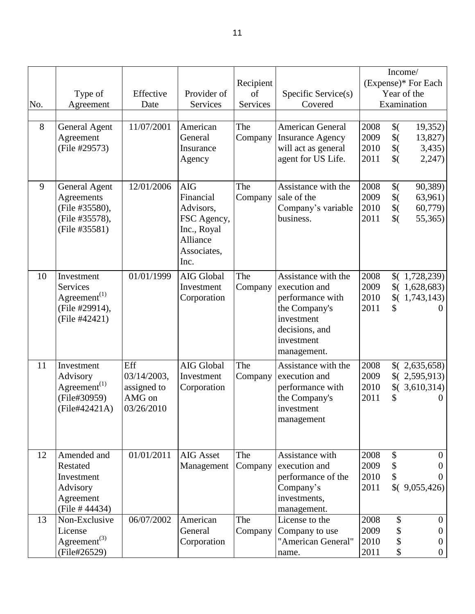|     |                          |             |                  |           |                         |      |                   | Income/             |
|-----|--------------------------|-------------|------------------|-----------|-------------------------|------|-------------------|---------------------|
|     |                          |             |                  | Recipient |                         |      |                   | (Expense)* For Each |
|     | Type of                  | Effective   | Provider of      | of        | Specific Service(s)     |      |                   | Year of the         |
| No. | Agreement                | Date        | Services         | Services  | Covered                 |      |                   | Examination         |
|     |                          |             |                  |           |                         |      |                   |                     |
| 8   | <b>General Agent</b>     | 11/07/2001  | American         | The       | <b>American General</b> | 2008 | $\frac{1}{2}$     | 19,352)             |
|     | Agreement                |             | General          | Company   | <b>Insurance Agency</b> | 2009 | $\frac{1}{2}$     | 13,827)             |
|     | (File #29573)            |             | Insurance        |           | will act as general     | 2010 | $\frac{1}{2}$     | 3,435)              |
|     |                          |             | Agency           |           | agent for US Life.      | 2011 | $\frac{1}{2}$     | 2,247)              |
|     |                          |             |                  |           |                         |      |                   |                     |
| 9   | <b>General Agent</b>     | 12/01/2006  | <b>AIG</b>       | The       | Assistance with the     | 2008 | $\frac{1}{2}$     | 90,389)             |
|     | Agreements               |             | Financial        | Company   | sale of the             | 2009 | $\frac{1}{2}$     | 63,961)             |
|     | (File #35580),           |             | Advisors,        |           | Company's variable      | 2010 | $\frac{1}{2}$     | 60,779)             |
|     | (File #35578),           |             | FSC Agency,      |           | business.               | 2011 | $\frac{1}{2}$     | 55,365)             |
|     | (File #35581)            |             | Inc., Royal      |           |                         |      |                   |                     |
|     |                          |             | Alliance         |           |                         |      |                   |                     |
|     |                          |             | Associates,      |           |                         |      |                   |                     |
|     |                          |             | Inc.             |           |                         |      |                   |                     |
| 10  | Investment               | 01/01/1999  | AIG Global       | The       | Assistance with the     | 2008 |                   | (1,728,239)         |
|     | Services                 |             | Investment       | Company   | execution and           | 2009 |                   | (1,628,683)         |
|     | $Agreement^{(1)}$        |             | Corporation      |           | performance with        | 2010 | $\sqrt[6]{\cdot}$ | 1,743,143)          |
|     | (File #29914),           |             |                  |           | the Company's           | 2011 | \$                | $\theta$            |
|     | (File #42421)            |             |                  |           | investment              |      |                   |                     |
|     |                          |             |                  |           | decisions, and          |      |                   |                     |
|     |                          |             |                  |           | investment              |      |                   |                     |
|     |                          |             |                  |           | management.             |      |                   |                     |
| 11  | Investment               | Eff         | AIG Global       | The       | Assistance with the     | 2008 |                   | (2,635,658)         |
|     | Advisory                 | 03/14/2003, | Investment       | Company   | execution and           | 2009 |                   | (2,595,913)         |
|     | $Agreement^{(1)}$        | assigned to | Corporation      |           | performance with        | 2010 | $\sqrt[6]{\cdot}$ | 3,610,314)          |
|     | (File#30959)             | AMG on      |                  |           | the Company's           | 2011 | \$                | $\theta$            |
|     | (File#42421A)            | 03/26/2010  |                  |           | investment              |      |                   |                     |
|     |                          |             |                  |           | management              |      |                   |                     |
|     |                          |             |                  |           |                         |      |                   |                     |
|     |                          |             |                  |           |                         |      |                   |                     |
| 12  | Amended and              | 01/01/2011  | <b>AIG Asset</b> | The       | Assistance with         | 2008 | \$                | $\overline{0}$      |
|     | Restated                 |             | Management       | Company   | execution and           | 2009 | \$                |                     |
|     | Investment               |             |                  |           | performance of the      | 2010 | \$                |                     |
|     | Advisory                 |             |                  |           | Company's               | 2011 |                   | (9,055,426)         |
|     | Agreement                |             |                  |           | investments,            |      |                   |                     |
|     | (File # 44434)           |             |                  |           | management.             |      |                   |                     |
| 13  | Non-Exclusive            | 06/07/2002  | American         | The       | License to the          | 2008 | \$                | $\overline{0}$      |
|     | License                  |             | General          | Company   | Company to use          | 2009 | \$                | $\overline{0}$      |
|     | Agreement <sup>(3)</sup> |             | Corporation      |           | "American General"      | 2010 | \$                | $\theta$            |
|     | (File#26529)             |             |                  |           | name.                   | 2011 | \$                | $\overline{0}$      |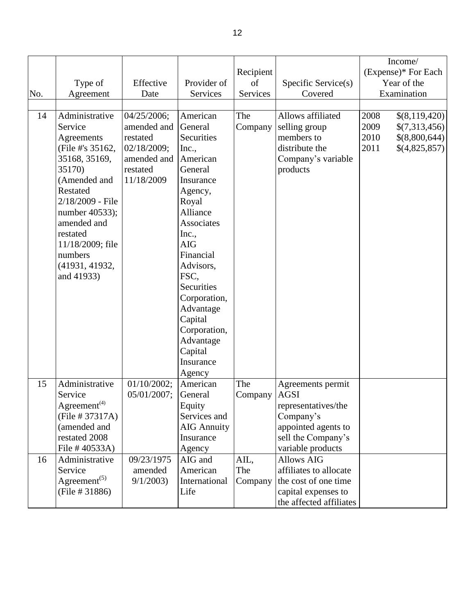|     |                                       |             |                                 |           |                                           | Income/                |
|-----|---------------------------------------|-------------|---------------------------------|-----------|-------------------------------------------|------------------------|
|     |                                       |             |                                 | Recipient |                                           | (Expense)* For Each    |
|     | Type of                               | Effective   | Provider of                     | of        | Specific Service(s)                       | Year of the            |
| No. | Agreement                             | Date        | Services                        | Services  | Covered                                   | Examination            |
|     |                                       |             |                                 |           |                                           |                        |
| 14  | Administrative                        | 04/25/2006; | American                        | The       | Allows affiliated                         | 2008<br>\$(8,119,420)  |
|     | Service                               | amended and | General                         | Company   | selling group                             | 2009<br>\$(7,313,456)  |
|     | Agreements                            | restated    | Securities                      |           | members to                                | 2010<br>\$ (8,800,644) |
|     | (File #'s 35162,                      | 02/18/2009; | Inc.,                           |           | distribute the                            | 2011<br>\$(4,825,857)  |
|     | 35168, 35169,                         | amended and | American                        |           | Company's variable                        |                        |
|     | 35170)                                | restated    | General                         |           | products                                  |                        |
|     | (Amended and                          | 11/18/2009  | Insurance                       |           |                                           |                        |
|     | Restated                              |             | Agency,                         |           |                                           |                        |
|     | 2/18/2009 - File                      |             | Royal                           |           |                                           |                        |
|     | number 40533);                        |             | Alliance                        |           |                                           |                        |
|     | amended and                           |             | <b>Associates</b>               |           |                                           |                        |
|     | restated                              |             | Inc.,                           |           |                                           |                        |
|     | 11/18/2009; file                      |             | <b>AIG</b>                      |           |                                           |                        |
|     | numbers                               |             | Financial                       |           |                                           |                        |
|     | (41931, 41932,                        |             | Advisors,                       |           |                                           |                        |
|     | and 41933)                            |             | FSC,                            |           |                                           |                        |
|     |                                       |             | Securities                      |           |                                           |                        |
|     |                                       |             |                                 |           |                                           |                        |
|     |                                       |             | Corporation,                    |           |                                           |                        |
|     |                                       |             | Advantage                       |           |                                           |                        |
|     |                                       |             | Capital                         |           |                                           |                        |
|     |                                       |             | Corporation,                    |           |                                           |                        |
|     |                                       |             | Advantage                       |           |                                           |                        |
|     |                                       |             | Capital                         |           |                                           |                        |
|     |                                       |             | Insurance                       |           |                                           |                        |
|     |                                       |             | Agency                          | The       |                                           |                        |
| 15  | Administrative<br>Service             | 01/10/2002; | American                        |           | Agreements permit                         |                        |
|     | Agreement <sup>(4)</sup>              | 05/01/2007; | General                         | Company   | <b>AGSI</b><br>representatives/the        |                        |
|     | (File # 37317A)                       |             | Equity<br>Services and          |           |                                           |                        |
|     | (amended and                          |             |                                 |           | Company's                                 |                        |
|     | restated 2008                         |             | <b>AIG Annuity</b><br>Insurance |           | appointed agents to<br>sell the Company's |                        |
|     |                                       |             |                                 |           |                                           |                        |
|     | File # 40533A)                        |             | Agency                          |           | variable products<br><b>Allows AIG</b>    |                        |
| 16  | Administrative                        | 09/23/1975  | AIG and                         | AIL,      |                                           |                        |
|     | Service                               | amended     | American                        | The       | affiliates to allocate                    |                        |
|     | Agreement <sup><math>(5)</math></sup> | 9/1/2003    | International                   | Company   | the cost of one time                      |                        |
|     | (File # 31886)                        |             | Life                            |           | capital expenses to                       |                        |
|     |                                       |             |                                 |           | the affected affiliates                   |                        |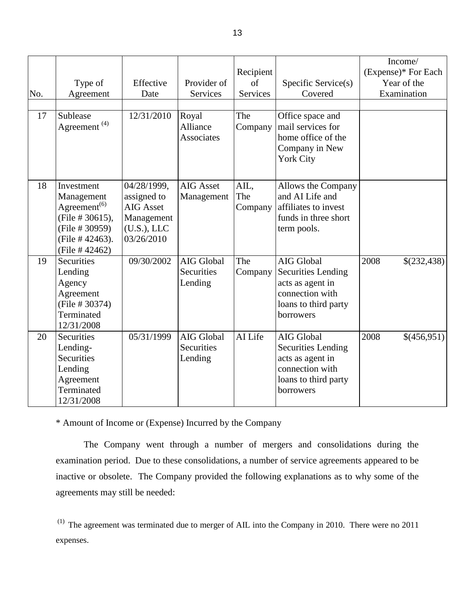| No.<br>17 | Type of<br>Agreement<br>Sublease<br>Agreement <sup>(4)</sup>                                                                                  | Effective<br>Date<br>12/31/2010                                                           | Provider of<br>Services<br>Royal<br>Alliance<br><b>Associates</b> | Recipient<br>of<br><b>Services</b><br>The<br>Company | Specific Service(s)<br>Covered<br>Office space and<br>mail services for<br>home office of the<br>Company in New<br><b>York City</b> | Income/<br>(Expense)* For Each<br>Year of the<br>Examination |
|-----------|-----------------------------------------------------------------------------------------------------------------------------------------------|-------------------------------------------------------------------------------------------|-------------------------------------------------------------------|------------------------------------------------------|-------------------------------------------------------------------------------------------------------------------------------------|--------------------------------------------------------------|
| 18        | Investment<br>Management<br>Agreement <sup><math>(6)</math></sup><br>(File # 30615),<br>(File # 30959)<br>(File # 42463).<br>(File $#42462$ ) | 04/28/1999,<br>assigned to<br><b>AIG Asset</b><br>Management<br>(U.S.), LLC<br>03/26/2010 | <b>AIG</b> Asset<br>Management                                    | AIL,<br>The<br>Company                               | Allows the Company<br>and AI Life and<br>affiliates to invest<br>funds in three short<br>term pools.                                |                                                              |
| 19        | Securities<br>Lending<br>Agency<br>Agreement<br>(File # 30374)<br>Terminated<br>12/31/2008                                                    | 09/30/2002                                                                                | AIG Global<br>Securities<br>Lending                               | The<br>Company                                       | AIG Global<br><b>Securities Lending</b><br>acts as agent in<br>connection with<br>loans to third party<br>borrowers                 | 2008<br>\$(232,438)                                          |
| 20        | Securities<br>Lending-<br>Securities<br>Lending<br>Agreement<br>Terminated<br>12/31/2008                                                      | 05/31/1999                                                                                | AIG Global<br>Securities<br>Lending                               | AI Life                                              | AIG Global<br><b>Securities Lending</b><br>acts as agent in<br>connection with<br>loans to third party<br>borrowers                 | 2008<br>\$(456,951)                                          |

\* Amount of Income or (Expense) Incurred by the Company

 The Company went through a number of mergers and consolidations during the examination period. Due to these consolidations, a number of service agreements appeared to be inactive or obsolete. The Company provided the following explanations as to why some of the agreements may still be needed:

 $(1)$  The agreement was terminated due to merger of AIL into the Company in 2010. There were no 2011 expenses.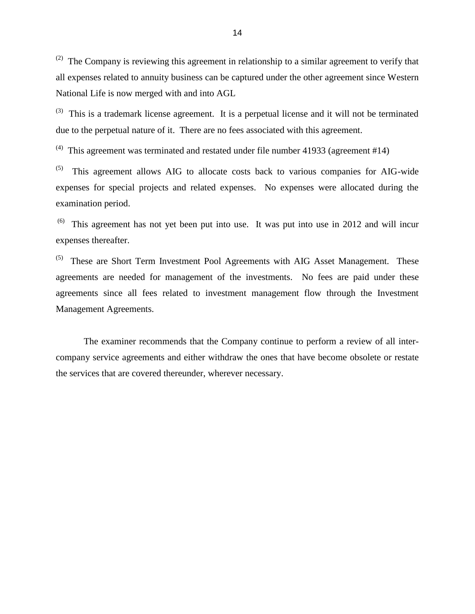$^{(2)}$  The Company is reviewing this agreement in relationship to a similar agreement to verify that all expenses related to annuity business can be captured under the other agreement since Western National Life is now merged with and into AGL

 $^{(3)}$  This is a trademark license agreement. It is a perpetual license and it will not be terminated due to the perpetual nature of it. There are no fees associated with this agreement.

<sup>(4)</sup> This agreement was terminated and restated under file number 41933 (agreement #14)

 $(5)$  expenses for special projects and related expenses. No expenses were allocated during the examination period. examination period.<br><sup>(6)</sup> This agreement has not yet been put into use. It was put into use in 2012 and will incur This agreement allows AIG to allocate costs back to various companies for AIG-wide

expenses thereafter.

 $(5)$  These are Short Term Investment Pool Agreements with AIG Asset Management. These agreements are needed for management of the investments. No fees are paid under these agreements since all fees related to investment management flow through the Investment Management Agreements.

 The examiner recommends that the Company continue to perform a review of all inter- company service agreements and either withdraw the ones that have become obsolete or restate the services that are covered thereunder, wherever necessary.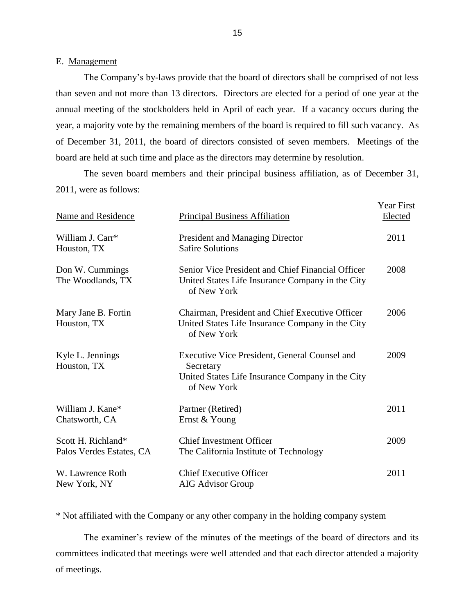#### E. Management

The Company's by-laws provide that the board of directors shall be comprised of not less than seven and not more than 13 directors. Directors are elected for a period of one year at the annual meeting of the stockholders held in April of each year. If a vacancy occurs during the year, a majority vote by the remaining members of the board is required to fill such vacancy. As of December 31, 2011, the board of directors consisted of seven members. Meetings of the board are held at such time and place as the directors may determine by resolution.

 2011, were as follows: The seven board members and their principal business affiliation, as of December 31,

| Name and Residence                             | <b>Principal Business Affiliation</b>                                                                                         | <b>Year First</b><br>Elected |
|------------------------------------------------|-------------------------------------------------------------------------------------------------------------------------------|------------------------------|
| William J. Carr*<br>Houston, TX                | President and Managing Director<br><b>Safire Solutions</b>                                                                    | 2011                         |
| Don W. Cummings<br>The Woodlands, TX           | Senior Vice President and Chief Financial Officer<br>United States Life Insurance Company in the City<br>of New York          | 2008                         |
| Mary Jane B. Fortin<br>Houston, TX             | Chairman, President and Chief Executive Officer<br>United States Life Insurance Company in the City<br>of New York            | 2006                         |
| Kyle L. Jennings<br>Houston, TX                | Executive Vice President, General Counsel and<br>Secretary<br>United States Life Insurance Company in the City<br>of New York | 2009                         |
| William J. Kane*<br>Chatsworth, CA             | Partner (Retired)<br>Ernst & Young                                                                                            | 2011                         |
| Scott H. Richland*<br>Palos Verdes Estates, CA | <b>Chief Investment Officer</b><br>The California Institute of Technology                                                     | 2009                         |
| W. Lawrence Roth<br>New York, NY               | <b>Chief Executive Officer</b><br><b>AIG Advisor Group</b>                                                                    | 2011                         |

\* Not affiliated with the Company or any other company in the holding company system

The examiner's review of the minutes of the meetings of the board of directors and its committees indicated that meetings were well attended and that each director attended a majority of meetings.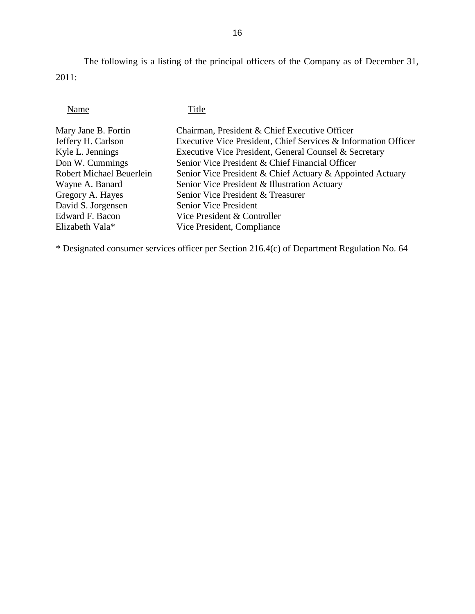The following is a listing of the principal officers of the Company as of December 31, 2011:

**Title** 

| Mary Jane B. Fortin             | Chairman, President & Chief Executive Officer                  |
|---------------------------------|----------------------------------------------------------------|
| Jeffery H. Carlson              | Executive Vice President, Chief Services & Information Officer |
| Kyle L. Jennings                | Executive Vice President, General Counsel & Secretary          |
| Don W. Cummings                 | Senior Vice President & Chief Financial Officer                |
| <b>Robert Michael Beuerlein</b> | Senior Vice President & Chief Actuary & Appointed Actuary      |
| Wayne A. Banard                 | Senior Vice President & Illustration Actuary                   |
| Gregory A. Hayes                | Senior Vice President & Treasurer                              |
| David S. Jorgensen              | <b>Senior Vice President</b>                                   |
| Edward F. Bacon                 | Vice President & Controller                                    |
| Elizabeth Vala <sup>*</sup>     | Vice President, Compliance                                     |
|                                 |                                                                |

\* Designated consumer services officer per Section 216.4(c) of Department Regulation No. 64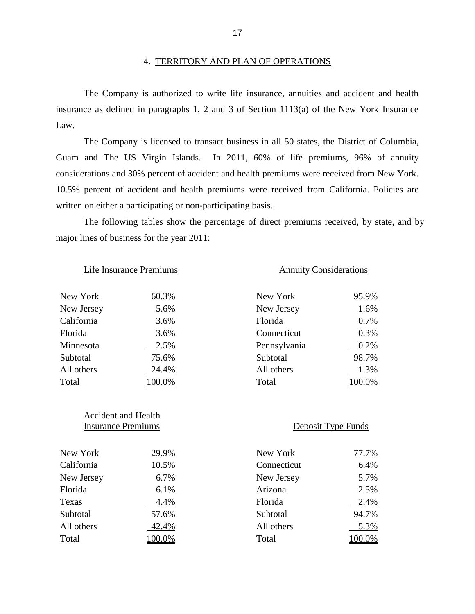#### 4. TERRITORY AND PLAN OF OPERATIONS

 insurance as defined in paragraphs 1, 2 and 3 of Section 1113(a) of the New York Insurance The Company is authorized to write life insurance, annuities and accident and health Law.

 The Company is licensed to transact business in all 50 states, the District of Columbia, Guam and The US Virgin Islands. In 2011, 60% of life premiums, 96% of annuity considerations and 30% percent of accident and health premiums were received from New York. considerations and 30% percent of accident and health premiums were received from New York. 10.5% percent of accident and health premiums were received from California. Policies are written on either a participating or non-participating basis.

 The following tables show the percentage of direct premiums received, by state, and by major lines of business for the year 2011:

#### Life Insurance Premiums Annuity Considerations

# $\overline{a}$ 24.4% New York  $60.3\%$ New Jersey 5.6% California 3.6% Minnesota 2.5%

Accident and Health

| New York   | 60.3%  | New York     | 95.9%  |
|------------|--------|--------------|--------|
| New Jersey | 5.6%   | New Jersey   | 1.6%   |
| California | 3.6%   | Florida      | 0.7%   |
| Florida    | 3.6%   | Connecticut  | 0.3%   |
| Minnesota  | 2.5%   | Pennsylvania | 0.2%   |
| Subtotal   | 75.6%  | Subtotal     | 98.7%  |
| All others | 24.4%  | All others   | 1.3%   |
| Total      | 100.0% | Total        | 100.0% |
|            |        |              |        |

#### Insurance Premiums Deposit Type Funds

| New York   | 29.9%  | New York    | 77.7%  |
|------------|--------|-------------|--------|
| California | 10.5%  | Connecticut | 6.4%   |
| New Jersey | 6.7%   | New Jersey  | 5.7%   |
| Florida    | 6.1%   | Arizona     | 2.5%   |
| Texas      | 4.4%   | Florida     | 2.4%   |
| Subtotal   | 57.6%  | Subtotal    | 94.7%  |
| All others | 42.4%  | All others  | 5.3%   |
| Total      | 100.0% | Total       | 100.0% |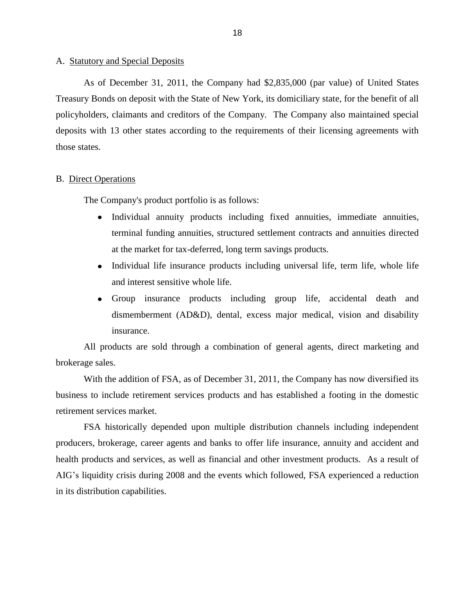#### <span id="page-20-0"></span>A. Statutory and Special Deposits

 Treasury Bonds on deposit with the State of New York, its domiciliary state, for the benefit of all policyholders, claimants and creditors of the Company. The Company also maintained special As of December 31, 2011, the Company had \$2,835,000 (par value) of United States deposits with 13 other states according to the requirements of their licensing agreements with those states.

#### **B.** Direct Operations

The Company's product portfolio is as follows:

- Individual annuity products including fixed annuities, immediate annuities,  $\bullet$ terminal funding annuities, structured settlement contracts and annuities directed at the market for tax-deferred, long term savings products.
- Individual life insurance products including universal life, term life, whole life and interest sensitive whole life.
- Group insurance products including group life, accidental death and dismemberment (AD&D), dental, excess major medical, vision and disability insurance.

All products are sold through a combination of general agents, direct marketing and brokerage sales.

 With the addition of FSA, as of December 31, 2011, the Company has now diversified its business to include retirement services products and has established a footing in the domestic retirement services market.

 producers, brokerage, career agents and banks to offer life insurance, annuity and accident and health products and services, as well as financial and other investment products. As a result of AIG"s liquidity crisis during 2008 and the events which followed, FSA experienced a reduction FSA historically depended upon multiple distribution channels including independent in its distribution capabilities.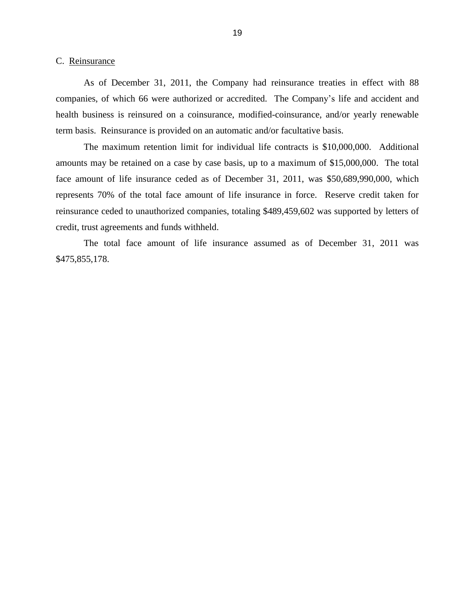#### <span id="page-21-0"></span>C. Reinsurance

 As of December 31, 2011, the Company had reinsurance treaties in effect with 88 companies, of which 66 were authorized or accredited. The Company"s life and accident and health business is reinsured on a coinsurance, modified-coinsurance, and/or yearly renewable term basis. Reinsurance is provided on an automatic and/or facultative basis.

 amounts may be retained on a case by case basis, up to a maximum of \$15,000,000. The total face amount of life insurance ceded as of December 31, 2011, was \$50,689,990,000, which represents 70% of the total face amount of life insurance in force. Reserve credit taken for The maximum retention limit for individual life contracts is \$10,000,000. Additional reinsurance ceded to unauthorized companies, totaling \$489,459,602 was supported by letters of credit, trust agreements and funds withheld.

The total face amount of life insurance assumed as of December 31, 2011 was \$475,855,178.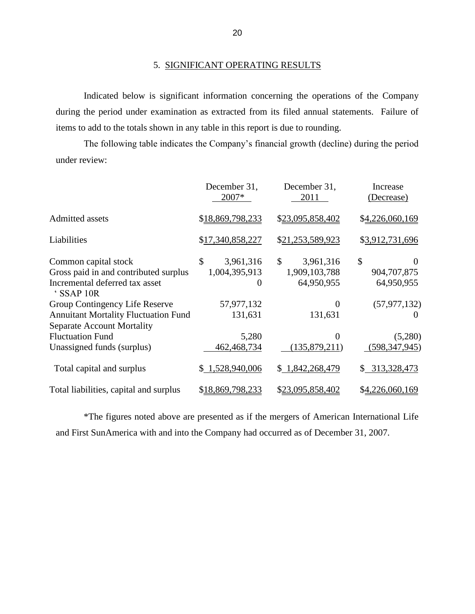### 5. SIGNIFICANT OPERATING RESULTS

 during the period under examination as extracted from its filed annual statements. Failure of Indicated below is significant information concerning the operations of the Company items to add to the totals shown in any table in this report is due to rounding.

 The following table indicates the Company"s financial growth (decline) during the period under review:

|                                                                                  | December 31,<br>2007* | December 31,<br>2011 | Increase<br>(Decrease) |
|----------------------------------------------------------------------------------|-----------------------|----------------------|------------------------|
| <b>Admitted assets</b>                                                           | \$18,869,798,233      | \$23,095,858,402     | \$4,226,060,169        |
| Liabilities                                                                      | \$17,340,858,227      | \$21,253,589,923     | \$3,912,731,696        |
| Common capital stock                                                             | \$<br>3,961,316       | \$<br>3,961,316      | \$<br>$\Omega$         |
| Gross paid in and contributed surplus                                            | 1,004,395,913         | 1,909,103,788        | 904, 707, 875          |
| Incremental deferred tax asset<br>'SSAP 10R                                      | 0                     | 64,950,955           | 64,950,955             |
| Group Contingency Life Reserve                                                   | 57,977,132            | $\mathbf{\Omega}$    | (57, 977, 132)         |
| <b>Annuitant Mortality Fluctuation Fund</b><br><b>Separate Account Mortality</b> | 131,631               | 131,631              |                        |
| <b>Fluctuation Fund</b>                                                          | 5,280                 | 0                    | (5,280)                |
| Unassigned funds (surplus)                                                       | 462, 468, 734         | (135, 879, 211)      | (598, 347, 945)        |
| Total capital and surplus                                                        | \$1,528,940,006       | \$1,842,268,479      | 313,328,473<br>\$      |
| Total liabilities, capital and surplus                                           | \$18,869,798,233      | \$23,095,858,402     | \$4,226,060,169        |

\*The figures noted above are presented as if the mergers of American International Life and First SunAmerica with and into the Company had occurred as of December 31, 2007.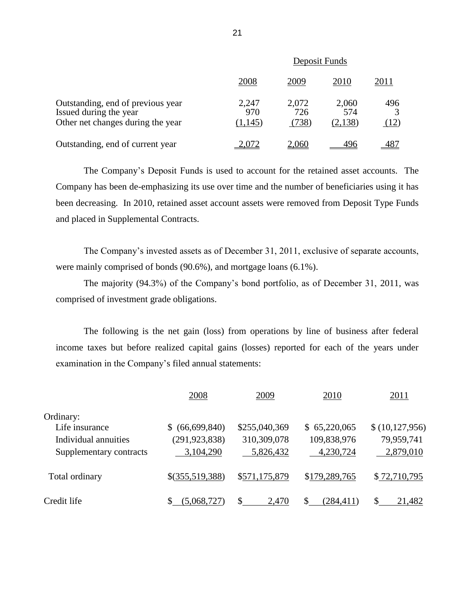|                                                                                                  | Deposit Funds           |                       |                         |             |  |
|--------------------------------------------------------------------------------------------------|-------------------------|-----------------------|-------------------------|-------------|--|
|                                                                                                  | 2008                    | 2009                  | 2010                    | 2011        |  |
| Outstanding, end of previous year<br>Issued during the year<br>Other net changes during the year | 2,247<br>970<br>(1,145) | 2,072<br>726<br>(738) | 2,060<br>574<br>(2,138) | 496<br>(12) |  |
| Outstanding, end of current year                                                                 |                         | 2,060                 |                         |             |  |

 Company has been de-emphasizing its use over time and the number of beneficiaries using it has been decreasing. In 2010, retained asset account assets were removed from Deposit Type Funds The Company"s Deposit Funds is used to account for the retained asset accounts. The and placed in Supplemental Contracts.

The Company's invested assets as of December 31, 2011, exclusive of separate accounts, were mainly comprised of bonds (90.6%), and mortgage loans (6.1%).

The majority (94.3%) of the Company"s bond portfolio, as of December 31, 2011, was comprised of investment grade obligations.

 The following is the net gain (loss) from operations by line of business after federal income taxes but before realized capital gains (losses) reported for each of the years under examination in the Company's filed annual statements:

|                         | 2008                | 2009          | 2010          | 2011           |
|-------------------------|---------------------|---------------|---------------|----------------|
| Ordinary:               |                     |               |               |                |
| Life insurance          | (66, 699, 840)<br>S | \$255,040,369 | \$65,220,065  | \$(10,127,956) |
| Individual annuities    | (291, 923, 838)     | 310,309,078   | 109,838,976   | 79,959,741     |
| Supplementary contracts | 3,104,290           | 5,826,432     | 4,230,724     | 2,879,010      |
| Total ordinary          | $$$ (355,519,388)   | \$571,175,879 | \$179,289,765 | \$72,710,795   |
| Credit life             | (5,068,727)         | \$<br>2,470   | (284, 411)    | 21,482         |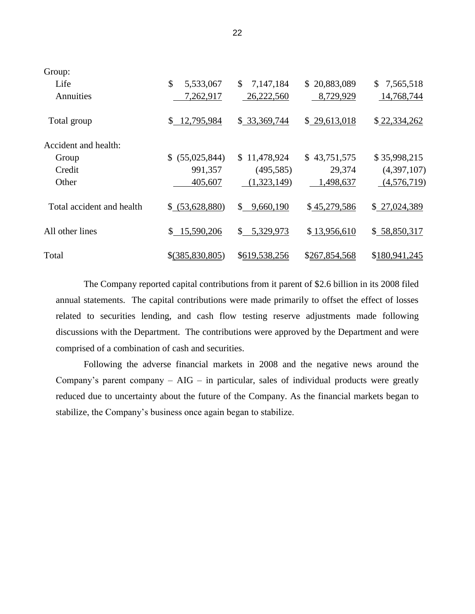| Group:                    |                    |                             |                  |                 |
|---------------------------|--------------------|-----------------------------|------------------|-----------------|
| Life                      | \$<br>5,533,067    | \$<br>7,147,184             | 20,883,089<br>S. | 7,565,518<br>\$ |
| Annuities                 | 7,262,917          | 26,222,560                  | 8,729,929        | 14,768,744      |
| Total group               | 12,795,984<br>\$   | \$33,369,744                | \$29,613,018     | \$22,334,262    |
| Accident and health:      |                    |                             |                  |                 |
| Group                     | (55,025,844)<br>S. | \$11,478,924                | \$43,751,575     | \$35,998,215    |
| Credit                    | 991,357            | (495, 585)                  | 29,374           | (4,397,107)     |
| Other                     | 405,607            | (1,323,149)                 | 1,498,637        | (4,576,719)     |
| Total accident and health | (53,628,880)<br>S. | $\mathbb{S}^-$<br>9,660,190 | \$45,279,586     | \$27,024,389    |
| All other lines           | 15,590,206<br>\$   | \$<br>5,329,973             | \$13,956,610     | \$58,850,317    |
| Total                     | $$$ (385,830,805)  | \$619,538,256               | \$267,854,568    | \$180,941,245   |

 annual statements. The capital contributions were made primarily to offset the effect of losses related to securities lending, and cash flow testing reserve adjustments made following discussions with the Department. The contributions were approved by the Department and were The Company reported capital contributions from it parent of \$2.6 billion in its 2008 filed comprised of a combination of cash and securities.

Company's parent company  $-$  AIG  $-$  in particular, sales of individual products were greatly reduced due to uncertainty about the future of the Company. As the financial markets began to stabilize, the Company's business once again began to stabilize. Following the adverse financial markets in 2008 and the negative news around the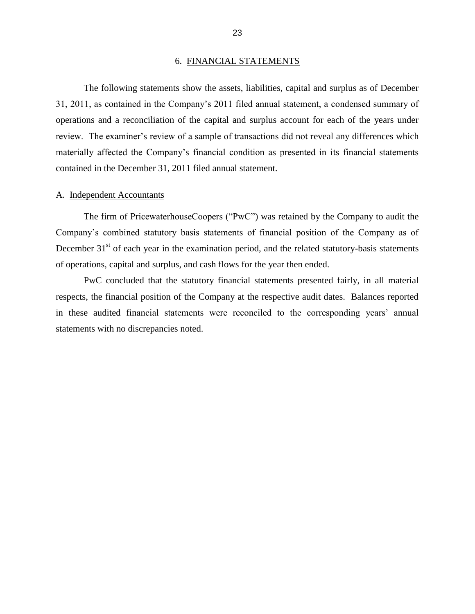#### 6. FINANCIAL STATEMENTS

<span id="page-25-0"></span> operations and a reconciliation of the capital and surplus account for each of the years under review. The examiner's review of a sample of transactions did not reveal any differences which The following statements show the assets, liabilities, capital and surplus as of December 31, 2011, as contained in the Company"s 2011 filed annual statement, a condensed summary of materially affected the Company's financial condition as presented in its financial statements contained in the December 31, 2011 filed annual statement.

#### A. Independent Accountants

 Company"s combined statutory basis statements of financial position of the Company as of December  $31<sup>st</sup>$  of each year in the examination period, and the related statutory-basis statements The firm of PricewaterhouseCoopers ("PwC") was retained by the Company to audit the of operations, capital and surplus, and cash flows for the year then ended.

 respects, the financial position of the Company at the respective audit dates. Balances reported in these audited financial statements were reconciled to the corresponding years' annual PwC concluded that the statutory financial statements presented fairly, in all material statements with no discrepancies noted.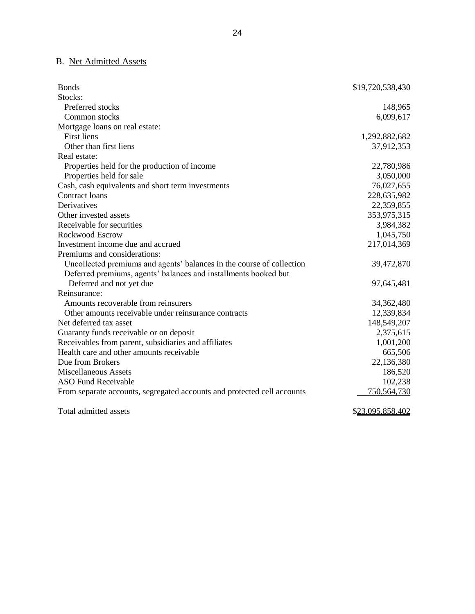### B. Net Admitted Assets

| <b>Bonds</b>                                                            | \$19,720,538,430 |
|-------------------------------------------------------------------------|------------------|
| Stocks:                                                                 |                  |
| Preferred stocks                                                        | 148,965          |
| Common stocks                                                           | 6,099,617        |
| Mortgage loans on real estate:                                          |                  |
| <b>First liens</b>                                                      | 1,292,882,682    |
| Other than first liens                                                  | 37,912,353       |
| Real estate:                                                            |                  |
| Properties held for the production of income                            | 22,780,986       |
| Properties held for sale                                                | 3,050,000        |
| Cash, cash equivalents and short term investments                       | 76,027,655       |
| <b>Contract loans</b>                                                   | 228,635,982      |
| Derivatives                                                             | 22,359,855       |
| Other invested assets                                                   | 353,975,315      |
| Receivable for securities                                               | 3,984,382        |
| Rockwood Escrow                                                         | 1,045,750        |
| Investment income due and accrued                                       | 217,014,369      |
| Premiums and considerations:                                            |                  |
| Uncollected premiums and agents' balances in the course of collection   | 39,472,870       |
| Deferred premiums, agents' balances and installments booked but         |                  |
| Deferred and not yet due                                                | 97,645,481       |
| Reinsurance:                                                            |                  |
| Amounts recoverable from reinsurers                                     | 34,362,480       |
| Other amounts receivable under reinsurance contracts                    | 12,339,834       |
| Net deferred tax asset                                                  | 148,549,207      |
| Guaranty funds receivable or on deposit                                 | 2,375,615        |
| Receivables from parent, subsidiaries and affiliates                    | 1,001,200        |
| Health care and other amounts receivable                                | 665,506          |
| Due from Brokers                                                        | 22,136,380       |
| <b>Miscellaneous Assets</b>                                             | 186,520          |
| <b>ASO Fund Receivable</b>                                              | 102,238          |
| From separate accounts, segregated accounts and protected cell accounts | 750,564,730      |
| Total admitted assets                                                   | \$23,095,858,402 |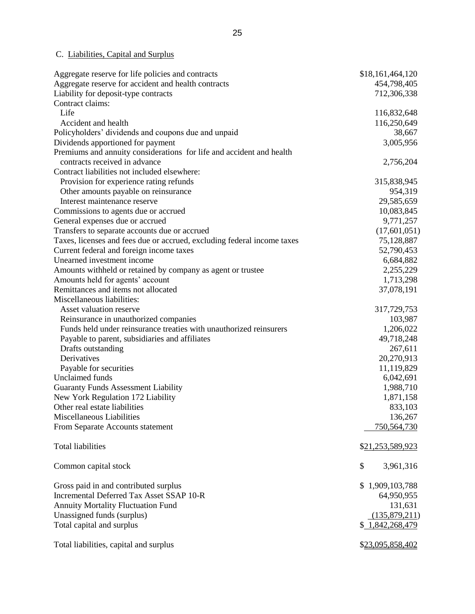### C. Liabilities, Capital and Surplus

| Aggregate reserve for life policies and contracts                       | \$18,161,464,120 |
|-------------------------------------------------------------------------|------------------|
| Aggregate reserve for accident and health contracts                     | 454,798,405      |
| Liability for deposit-type contracts                                    | 712,306,338      |
| Contract claims:                                                        |                  |
| Life                                                                    | 116,832,648      |
| Accident and health                                                     | 116,250,649      |
| Policyholders' dividends and coupons due and unpaid                     | 38,667           |
| Dividends apportioned for payment                                       | 3,005,956        |
| Premiums and annuity considerations for life and accident and health    |                  |
| contracts received in advance                                           | 2,756,204        |
| Contract liabilities not included elsewhere:                            |                  |
| Provision for experience rating refunds                                 | 315,838,945      |
| Other amounts payable on reinsurance                                    | 954,319          |
| Interest maintenance reserve                                            | 29,585,659       |
| Commissions to agents due or accrued                                    | 10,083,845       |
| General expenses due or accrued                                         | 9,771,257        |
| Transfers to separate accounts due or accrued                           | (17,601,051)     |
| Taxes, licenses and fees due or accrued, excluding federal income taxes | 75,128,887       |
| Current federal and foreign income taxes                                | 52,790,453       |
| Unearned investment income                                              | 6,684,882        |
| Amounts withheld or retained by company as agent or trustee             | 2,255,229        |
| Amounts held for agents' account                                        | 1,713,298        |
| Remittances and items not allocated                                     | 37,078,191       |
| Miscellaneous liabilities:                                              |                  |
| Asset valuation reserve                                                 | 317,729,753      |
| Reinsurance in unauthorized companies                                   | 103,987          |
| Funds held under reinsurance treaties with unauthorized reinsurers      | 1,206,022        |
| Payable to parent, subsidiaries and affiliates                          | 49,718,248       |
| Drafts outstanding                                                      | 267,611          |
| Derivatives                                                             | 20,270,913       |
| Payable for securities                                                  | 11,119,829       |
| <b>Unclaimed</b> funds                                                  | 6,042,691        |
| <b>Guaranty Funds Assessment Liability</b>                              | 1,988,710        |
| New York Regulation 172 Liability                                       | 1,871,158        |
| Other real estate liabilities                                           | 833,103          |
| Miscellaneous Liabilities                                               | 136,267          |
| From Separate Accounts statement                                        | 750,564,730      |
|                                                                         |                  |
| <b>Total liabilities</b>                                                | \$21,253,589,923 |
| Common capital stock                                                    | \$<br>3,961,316  |
|                                                                         |                  |
| Gross paid in and contributed surplus                                   | \$1,909,103,788  |
| Incremental Deferred Tax Asset SSAP 10-R                                | 64,950,955       |
| <b>Annuity Mortality Fluctuation Fund</b>                               | 131,631          |
| Unassigned funds (surplus)                                              | (135, 879, 211)  |
| Total capital and surplus                                               | \$ 1,842,268,479 |
| Total liabilities, capital and surplus                                  | \$23,095,858,402 |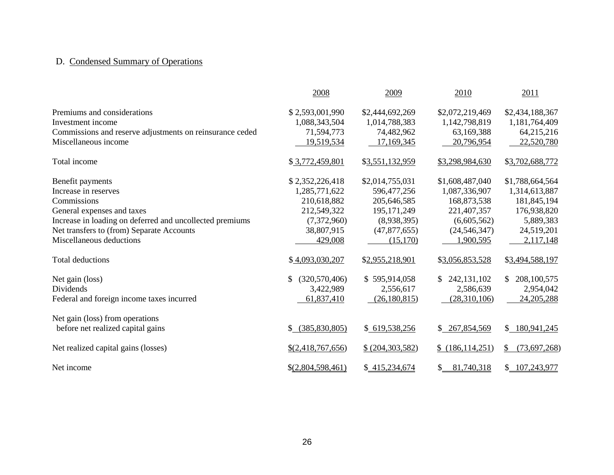# D. Condensed Summary of Operations

|                                                          | 2008                | 2009               | 2010                          | 2011               |
|----------------------------------------------------------|---------------------|--------------------|-------------------------------|--------------------|
| Premiums and considerations                              | \$2,593,001,990     | \$2,444,692,269    | \$2,072,219,469               | \$2,434,188,367    |
| Investment income                                        | 1,088,343,504       | 1,014,788,383      | 1,142,798,819                 | 1,181,764,409      |
| Commissions and reserve adjustments on reinsurance ceded | 71,594,773          | 74,482,962         | 63,169,388                    | 64,215,216         |
| Miscellaneous income                                     | 19,519,534          | 17,169,345         | 20,796,954                    | 22,520,780         |
| Total income                                             | \$3,772,459,801     | \$3,551,132,959    | \$3,298,984,630               | \$3,702,688,772    |
| Benefit payments                                         | \$2,352,226,418     | \$2,014,755,031    | \$1,608,487,040               | \$1,788,664,564    |
| Increase in reserves                                     | 1,285,771,622       | 596,477,256        | 1,087,336,907                 | 1,314,613,887      |
| Commissions                                              | 210,618,882         | 205,646,585        | 168,873,538                   | 181,845,194        |
| General expenses and taxes                               | 212,549,322         | 195, 171, 249      | 221,407,357                   | 176,938,820        |
| Increase in loading on deferred and uncollected premiums | (7,372,960)         | (8,938,395)        | (6,605,562)                   | 5,889,383          |
| Net transfers to (from) Separate Accounts                | 38,807,915          | (47,877,655)       | (24, 546, 347)                | 24,519,201         |
| Miscellaneous deductions                                 | 429,008             | (15,170)           | 1,900,595                     | 2,117,148          |
| Total deductions                                         | \$4,093,030,207     | \$2,955,218,901    | \$3,056,853,528               | \$3,494,588,197    |
| Net gain (loss)                                          | (320, 570, 406)     | \$595,914,058      | 242, 131, 102<br>$\mathbb{S}$ | 208, 100, 575      |
| Dividends                                                | 3,422,989           | 2,556,617          | 2,586,639                     | 2,954,042          |
| Federal and foreign income taxes incurred                | 61,837,410          | (26,180,815)       | (28,310,106)                  | 24, 205, 288       |
| Net gain (loss) from operations                          |                     |                    |                               |                    |
| before net realized capital gains                        | (385, 830, 805)     | \$619,538,256      | \$267,854,569                 | \$180,941,245      |
| Net realized capital gains (losses)                      | $$$ (2,418,767,656) | \$ (204, 303, 582) | \$(186, 114, 251)             | \$<br>(73,697,268) |
| Net income                                               | \$ (2,804,598,461)  | \$415,234,674      | 81,740,318<br>\$              | \$107,243,977      |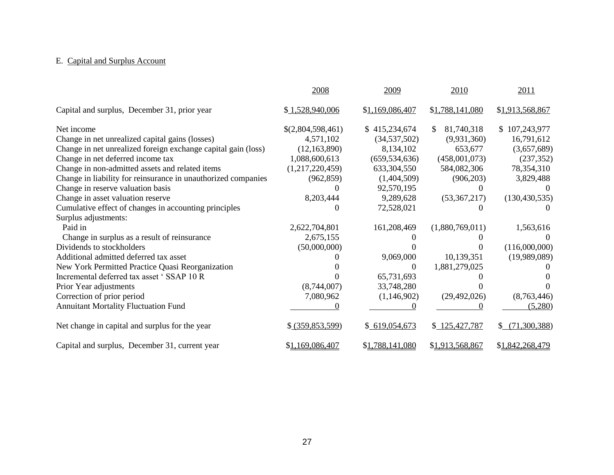### E. Capital and Surplus Account

|                                                               | 2008               | 2009            | 2010                        | 2011            |
|---------------------------------------------------------------|--------------------|-----------------|-----------------------------|-----------------|
| Capital and surplus, December 31, prior year                  | \$1,528,940,006    | \$1,169,086,407 | \$1,788,141,080             | \$1,913,568,867 |
| Net income                                                    | \$(2,804,598,461)  | \$415,234,674   | 81,740,318<br><sup>\$</sup> | \$107,243,977   |
| Change in net unrealized capital gains (losses)               | 4,571,102          | (34, 537, 502)  | (9,931,360)                 | 16,791,612      |
| Change in net unrealized foreign exchange capital gain (loss) | (12, 163, 890)     | 8,134,102       | 653,677                     | (3,657,689)     |
| Change in net deferred income tax                             | 1,088,600,613      | (659, 534, 636) | (458,001,073)               | (237, 352)      |
| Change in non-admitted assets and related items               | (1,217,220,459)    | 633, 304, 550   | 584,082,306                 | 78,354,310      |
| Change in liability for reinsurance in unauthorized companies | (962, 859)         | (1,404,509)     | (906, 203)                  | 3,829,488       |
| Change in reserve valuation basis                             |                    | 92,570,195      |                             |                 |
| Change in asset valuation reserve                             | 8,203,444          | 9,289,628       | (53,367,217)                | (130, 430, 535) |
| Cumulative effect of changes in accounting principles         | 0                  | 72,528,021      |                             |                 |
| Surplus adjustments:                                          |                    |                 |                             |                 |
| Paid in                                                       | 2,622,704,801      | 161,208,469     | (1,880,769,011)             | 1,563,616       |
| Change in surplus as a result of reinsurance                  | 2,675,155          |                 |                             |                 |
| Dividends to stockholders                                     | (50,000,000)       |                 |                             | (116,000,000)   |
| Additional admitted deferred tax asset                        |                    | 9,069,000       | 10,139,351                  | (19,989,089)    |
| New York Permitted Practice Quasi Reorganization              |                    | $\Omega$        | 1,881,279,025               |                 |
| Incremental deferred tax asset 'SSAP 10 R                     |                    | 65,731,693      |                             |                 |
| Prior Year adjustments                                        | (8,744,007)        | 33,748,280      |                             |                 |
| Correction of prior period                                    | 7,080,962          | (1,146,902)     | (29, 492, 026)              | (8,763,446)     |
| <b>Annuitant Mortality Fluctuation Fund</b>                   |                    |                 |                             | (5,280)         |
| Net change in capital and surplus for the year                | \$ (359, 853, 599) | \$619,054,673   | \$125,427,787               | \$ (71,300,388) |
| Capital and surplus, December 31, current year                | \$1,169,086,407    | \$1,788,141,080 | \$1,913,568,867             | \$1,842,268,479 |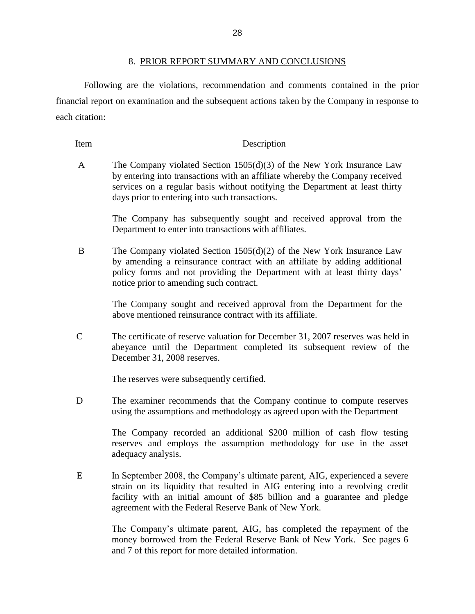<span id="page-30-0"></span> Following are the violations, recommendation and comments contained in the prior financial report on examination and the subsequent actions taken by the Company in response to each citation:

#### Item Description

 A The Company violated Section 1505(d)(3) of the New York Insurance Law by entering into transactions with an affiliate whereby the Company received services on a regular basis without notifying the Department at least thirty days prior to entering into such transactions.

> The Company has subsequently sought and received approval from the Department to enter into transactions with affiliates.

 B The Company violated Section 1505(d)(2) of the New York Insurance Law by amending a reinsurance contract with an affiliate by adding additional policy forms and not providing the Department with at least thirty days' notice prior to amending such contract.

> The Company sought and received approval from the Department for the above mentioned reinsurance contract with its affiliate.

 C The certificate of reserve valuation for December 31, 2007 reserves was held in December 31, 2008 reserves. abeyance until the Department completed its subsequent review of the

The reserves were subsequently certified.

 D The examiner recommends that the Company continue to compute reserves using the assumptions and methodology as agreed upon with the Department

> The Company recorded an additional \$200 million of cash flow testing reserves and employs the assumption methodology for use in the asset adequacy analysis.

 E In September 2008, the Company"s ultimate parent, AIG, experienced a severe strain on its liquidity that resulted in AIG entering into a revolving credit facility with an initial amount of \$85 billion and a guarantee and pledge agreement with the Federal Reserve Bank of New York.

> money borrowed from the Federal Reserve Bank of New York. See pages 6 The Company"s ultimate parent, AIG, has completed the repayment of the and 7 of this report for more detailed information.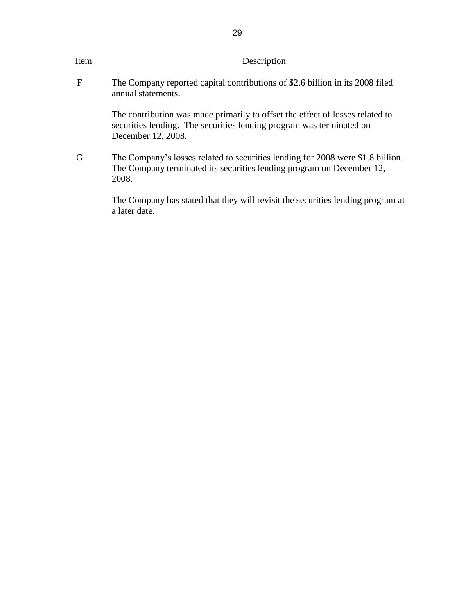| Item        | Description                                                                                                                                                                 |
|-------------|-----------------------------------------------------------------------------------------------------------------------------------------------------------------------------|
| $\mathbf F$ | The Company reported capital contributions of \$2.6 billion in its 2008 filed<br>annual statements.                                                                         |
|             | The contribution was made primarily to offset the effect of losses related to<br>securities lending. The securities lending program was terminated on<br>December 12, 2008. |
| G           | The Company's losses related to securities lending for 2008 were \$1.8 billion.<br>The Company terminated its securities lending program on December 12,<br>2008.           |
|             | The Company has stated that they will revisit the securities lending program at<br>a later date.                                                                            |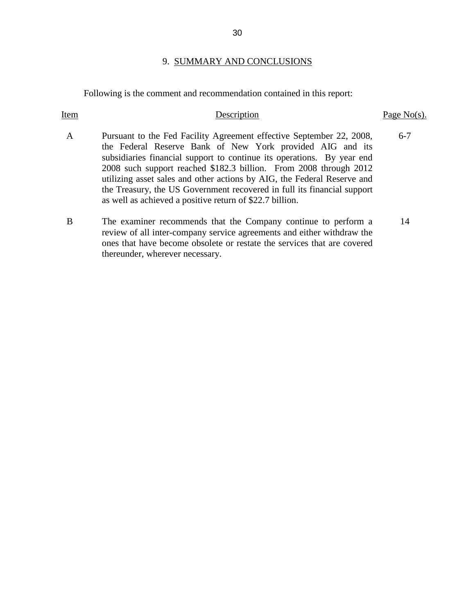#### 9. SUMMARY AND CONCLUSIONS

Following is the comment and recommendation contained in this report:

### the Federal Reserve Bank of New York provided AIG and its subsidiaries financial support to continue its operations. By year end utilizing asset sales and other actions by AIG, the Federal Reserve and B The examiner recommends that the Company continue to perform a review of all inter-company service agreements and either withdraw the ones that have become obsolete or restate the services that are covered Item Description Page No(s). A Pursuant to the Fed Facility Agreement effective September 22, 2008, 2008 such support reached \$182.3 billion. From 2008 through 2012 the Treasury, the US Government recovered in full its financial support as well as achieved a positive return of \$22.7 billion. 6-7 thereunder, wherever necessary. 14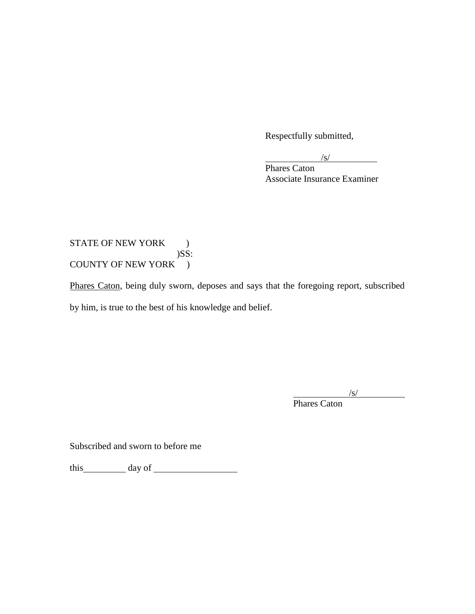Respectfully submitted,

 $\sqrt{s}$ /s/

Phares Caton Associate Insurance Examiner

### COUNTY OF NEW YORK ) STATE OF NEW YORK ) )SS:

Phares Caton, being duly sworn, deposes and says that the foregoing report, subscribed by him, is true to the best of his knowledge and belief.

 $\sqrt{s}$ /

Phares Caton

Subscribed and sworn to before me

this day of